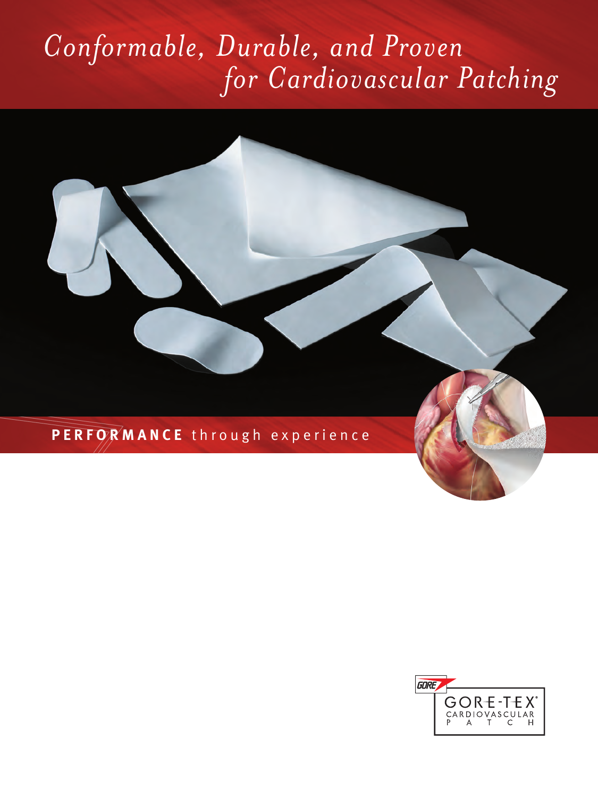# *Conformable, Durable, and Proven for Cardiovascular Patching*

**P E R F O R M A N C E** through experience